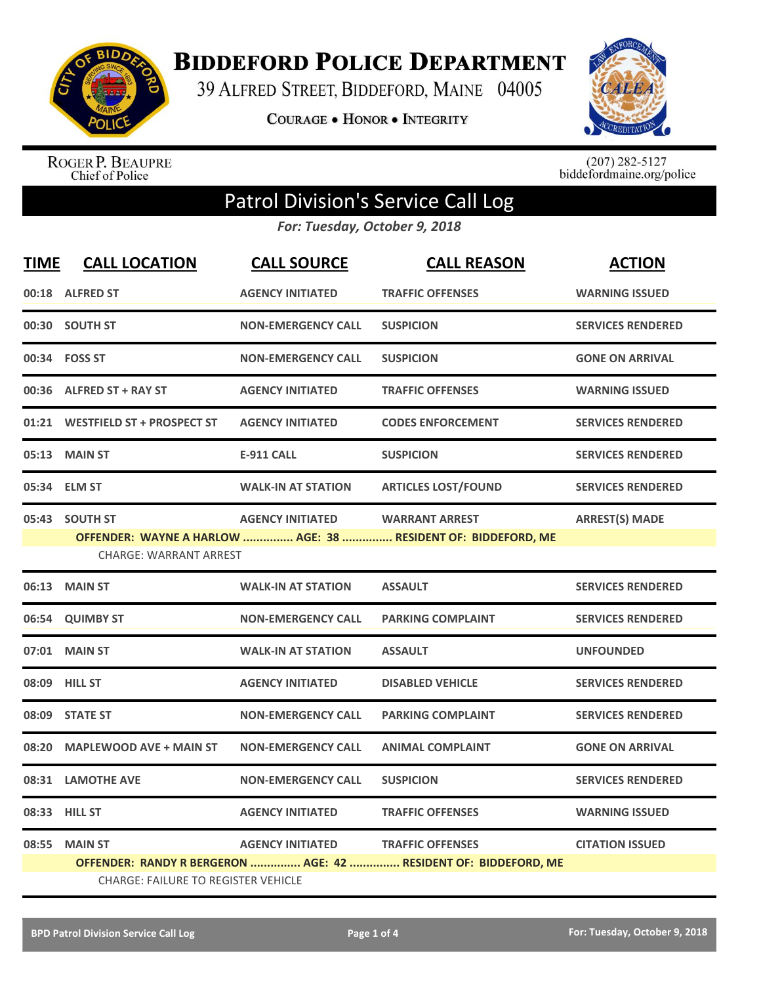

**BIDDEFORD POLICE DEPARTMENT** 

39 ALFRED STREET, BIDDEFORD, MAINE 04005

**COURAGE . HONOR . INTEGRITY** 



ROGER P. BEAUPRE<br>Chief of Police

 $(207)$  282-5127<br>biddefordmaine.org/police

## Patrol Division's Service Call Log

*For: Tuesday, October 9, 2018*

| <b>TIME</b> | <b>CALL LOCATION</b>                       | <b>CALL SOURCE</b>        | <b>CALL REASON</b>                                                                     | <b>ACTION</b>            |  |  |
|-------------|--------------------------------------------|---------------------------|----------------------------------------------------------------------------------------|--------------------------|--|--|
|             | 00:18 ALFRED ST                            | <b>AGENCY INITIATED</b>   | <b>TRAFFIC OFFENSES</b>                                                                | <b>WARNING ISSUED</b>    |  |  |
|             | 00:30 SOUTH ST                             | <b>NON-EMERGENCY CALL</b> | <b>SUSPICION</b>                                                                       | <b>SERVICES RENDERED</b> |  |  |
|             | 00:34 FOSS ST                              | <b>NON-EMERGENCY CALL</b> | <b>SUSPICION</b>                                                                       | <b>GONE ON ARRIVAL</b>   |  |  |
|             | 00:36 ALFRED ST + RAY ST                   | <b>AGENCY INITIATED</b>   | <b>TRAFFIC OFFENSES</b>                                                                | <b>WARNING ISSUED</b>    |  |  |
|             | 01:21 WESTFIELD ST + PROSPECT ST           | <b>AGENCY INITIATED</b>   | <b>CODES ENFORCEMENT</b>                                                               | <b>SERVICES RENDERED</b> |  |  |
|             | 05:13 MAIN ST                              | <b>E-911 CALL</b>         | <b>SUSPICION</b>                                                                       | <b>SERVICES RENDERED</b> |  |  |
|             | 05:34 ELM ST                               | <b>WALK-IN AT STATION</b> | <b>ARTICLES LOST/FOUND</b>                                                             | <b>SERVICES RENDERED</b> |  |  |
|             | 05:43 SOUTH ST                             | <b>AGENCY INITIATED</b>   | <b>WARRANT ARREST</b><br>OFFENDER: WAYNE A HARLOW  AGE: 38  RESIDENT OF: BIDDEFORD, ME | <b>ARREST(S) MADE</b>    |  |  |
|             | <b>CHARGE: WARRANT ARREST</b>              |                           |                                                                                        |                          |  |  |
|             | 06:13 MAIN ST                              | <b>WALK-IN AT STATION</b> | <b>ASSAULT</b>                                                                         | <b>SERVICES RENDERED</b> |  |  |
|             | 06:54 QUIMBY ST                            | <b>NON-EMERGENCY CALL</b> | <b>PARKING COMPLAINT</b>                                                               | <b>SERVICES RENDERED</b> |  |  |
|             | 07:01 MAIN ST                              | <b>WALK-IN AT STATION</b> | <b>ASSAULT</b>                                                                         | <b>UNFOUNDED</b>         |  |  |
|             | 08:09 HILL ST                              | <b>AGENCY INITIATED</b>   | <b>DISABLED VEHICLE</b>                                                                | <b>SERVICES RENDERED</b> |  |  |
|             | 08:09 STATE ST                             | <b>NON-EMERGENCY CALL</b> | <b>PARKING COMPLAINT</b>                                                               | <b>SERVICES RENDERED</b> |  |  |
| 08:20       | <b>MAPLEWOOD AVE + MAIN ST</b>             | <b>NON-EMERGENCY CALL</b> | <b>ANIMAL COMPLAINT</b>                                                                | <b>GONE ON ARRIVAL</b>   |  |  |
|             | 08:31 LAMOTHE AVE                          | <b>NON-EMERGENCY CALL</b> | <b>SUSPICION</b>                                                                       | <b>SERVICES RENDERED</b> |  |  |
|             | 08:33 HILL ST                              | <b>AGENCY INITIATED</b>   | <b>TRAFFIC OFFENSES</b>                                                                | <b>WARNING ISSUED</b>    |  |  |
| 08:55       | <b>MAIN ST</b>                             | <b>AGENCY INITIATED</b>   | <b>TRAFFIC OFFENSES</b>                                                                | <b>CITATION ISSUED</b>   |  |  |
|             |                                            |                           | OFFENDER: RANDY R BERGERON  AGE: 42  RESIDENT OF: BIDDEFORD, ME                        |                          |  |  |
|             | <b>CHARGE: FAILURE TO REGISTER VEHICLE</b> |                           |                                                                                        |                          |  |  |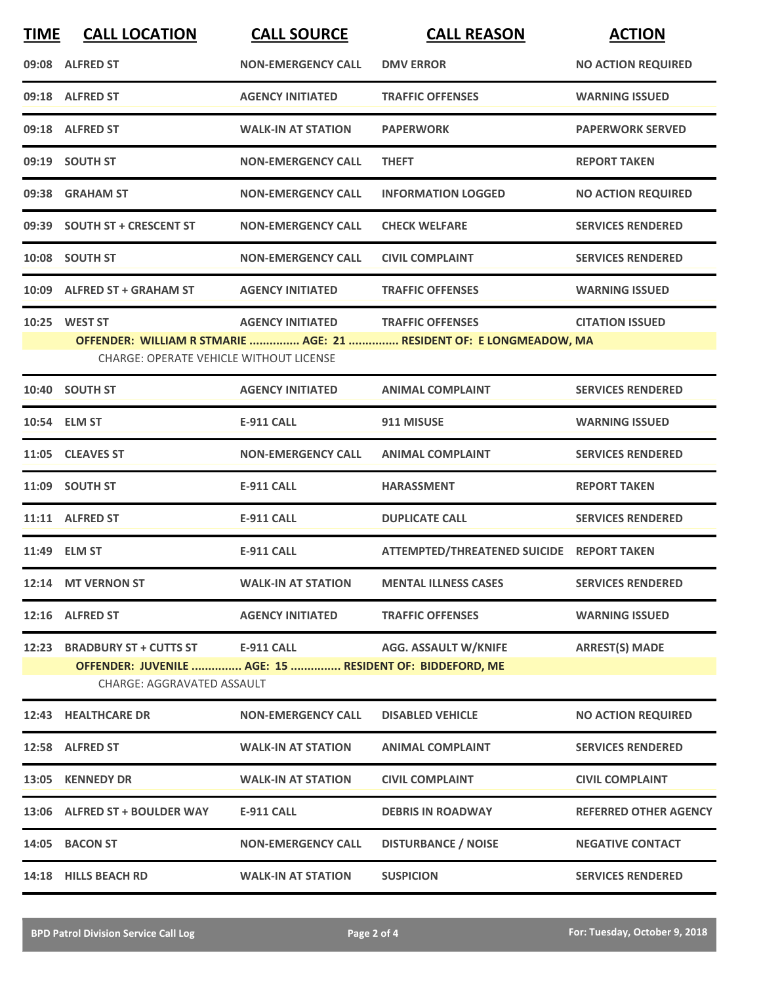| <b>TIME</b> | <b>CALL LOCATION</b>                                                                                                         | <b>CALL SOURCE</b>        | <b>CALL REASON</b>                        | <b>ACTION</b>                |  |
|-------------|------------------------------------------------------------------------------------------------------------------------------|---------------------------|-------------------------------------------|------------------------------|--|
|             | 09:08 ALFRED ST                                                                                                              | <b>NON-EMERGENCY CALL</b> | <b>DMV ERROR</b>                          | <b>NO ACTION REQUIRED</b>    |  |
|             | 09:18 ALFRED ST                                                                                                              | <b>AGENCY INITIATED</b>   | <b>TRAFFIC OFFENSES</b>                   | <b>WARNING ISSUED</b>        |  |
|             | 09:18 ALFRED ST                                                                                                              | <b>WALK-IN AT STATION</b> | <b>PAPERWORK</b>                          | <b>PAPERWORK SERVED</b>      |  |
|             | 09:19 SOUTH ST                                                                                                               | <b>NON-EMERGENCY CALL</b> | <b>THEFT</b>                              | <b>REPORT TAKEN</b>          |  |
|             | 09:38 GRAHAM ST                                                                                                              | <b>NON-EMERGENCY CALL</b> | <b>INFORMATION LOGGED</b>                 | <b>NO ACTION REQUIRED</b>    |  |
|             | 09:39 SOUTH ST + CRESCENT ST                                                                                                 | <b>NON-EMERGENCY CALL</b> | <b>CHECK WELFARE</b>                      | <b>SERVICES RENDERED</b>     |  |
|             | 10:08 SOUTH ST                                                                                                               | <b>NON-EMERGENCY CALL</b> | <b>CIVIL COMPLAINT</b>                    | <b>SERVICES RENDERED</b>     |  |
|             | 10:09 ALFRED ST + GRAHAM ST                                                                                                  | <b>AGENCY INITIATED</b>   | <b>TRAFFIC OFFENSES</b>                   | <b>WARNING ISSUED</b>        |  |
|             | 10:25 WEST ST                                                                                                                | <b>AGENCY INITIATED</b>   | <b>TRAFFIC OFFENSES</b>                   | <b>CITATION ISSUED</b>       |  |
|             | OFFENDER: WILLIAM R STMARIE  AGE: 21  RESIDENT OF: E LONGMEADOW, MA<br><b>CHARGE: OPERATE VEHICLE WITHOUT LICENSE</b>        |                           |                                           |                              |  |
|             | 10:40 SOUTH ST                                                                                                               | <b>AGENCY INITIATED</b>   | <b>ANIMAL COMPLAINT</b>                   | <b>SERVICES RENDERED</b>     |  |
|             | 10:54 ELM ST                                                                                                                 | <b>E-911 CALL</b>         | 911 MISUSE                                | <b>WARNING ISSUED</b>        |  |
|             | 11:05 CLEAVES ST                                                                                                             | <b>NON-EMERGENCY CALL</b> | <b>ANIMAL COMPLAINT</b>                   | <b>SERVICES RENDERED</b>     |  |
|             | 11:09 SOUTH ST                                                                                                               | <b>E-911 CALL</b>         | <b>HARASSMENT</b>                         | <b>REPORT TAKEN</b>          |  |
|             | 11:11 ALFRED ST                                                                                                              | <b>E-911 CALL</b>         | <b>DUPLICATE CALL</b>                     | <b>SERVICES RENDERED</b>     |  |
|             | 11:49 ELM ST                                                                                                                 | <b>E-911 CALL</b>         | ATTEMPTED/THREATENED SUICIDE REPORT TAKEN |                              |  |
|             | 12:14 MT VERNON ST                                                                                                           | <b>WALK-IN AT STATION</b> | <b>MENTAL ILLNESS CASES</b>               | <b>SERVICES RENDERED</b>     |  |
|             | 12:16 ALFRED ST                                                                                                              | <b>AGENCY INITIATED</b>   | <b>TRAFFIC OFFENSES</b>                   | <b>WARNING ISSUED</b>        |  |
|             | 12:23 BRADBURY ST + CUTTS ST<br>OFFENDER: JUVENILE  AGE: 15  RESIDENT OF: BIDDEFORD, ME<br><b>CHARGE: AGGRAVATED ASSAULT</b> | <b>E-911 CALL</b>         | <b>AGG. ASSAULT W/KNIFE</b>               | <b>ARREST(S) MADE</b>        |  |
|             | 12:43 HEALTHCARE DR                                                                                                          | <b>NON-EMERGENCY CALL</b> | <b>DISABLED VEHICLE</b>                   | <b>NO ACTION REQUIRED</b>    |  |
|             | 12:58 ALFRED ST                                                                                                              | <b>WALK-IN AT STATION</b> | <b>ANIMAL COMPLAINT</b>                   | <b>SERVICES RENDERED</b>     |  |
|             | 13:05 KENNEDY DR                                                                                                             | <b>WALK-IN AT STATION</b> | <b>CIVIL COMPLAINT</b>                    | <b>CIVIL COMPLAINT</b>       |  |
|             | 13:06 ALFRED ST + BOULDER WAY                                                                                                | <b>E-911 CALL</b>         | <b>DEBRIS IN ROADWAY</b>                  | <b>REFERRED OTHER AGENCY</b> |  |
|             | 14:05 BACON ST                                                                                                               | <b>NON-EMERGENCY CALL</b> | <b>DISTURBANCE / NOISE</b>                | <b>NEGATIVE CONTACT</b>      |  |
|             | 14:18 HILLS BEACH RD                                                                                                         | <b>WALK-IN AT STATION</b> | <b>SUSPICION</b>                          | <b>SERVICES RENDERED</b>     |  |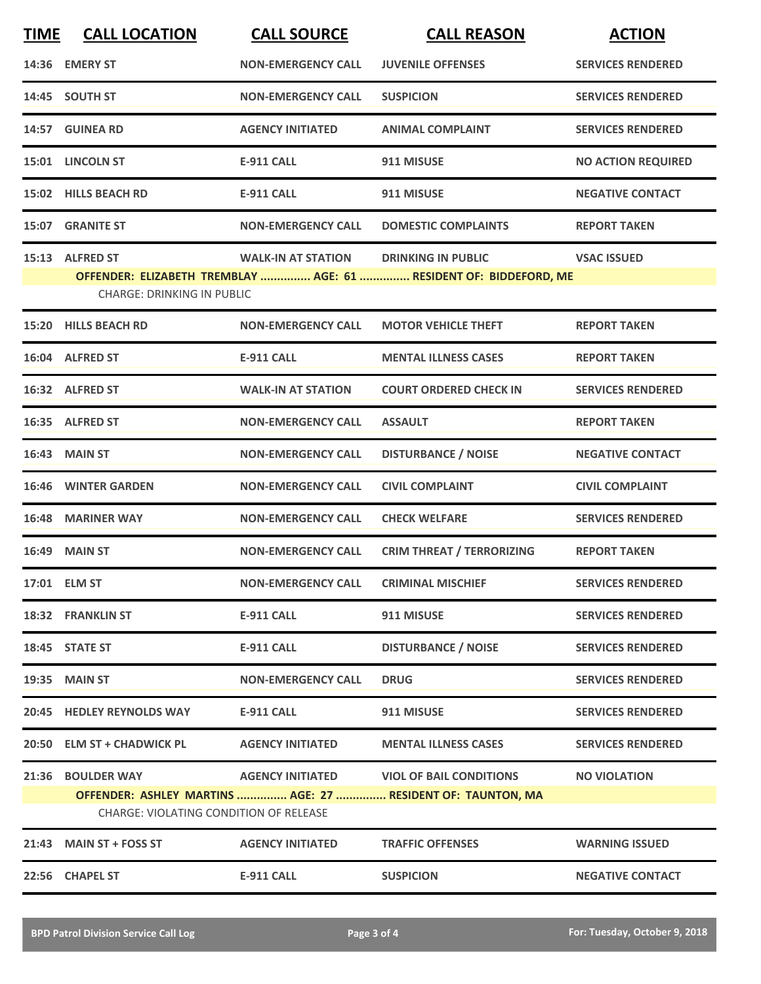| <b>TIME</b> | <b>CALL LOCATION</b>                          | <b>CALL SOURCE</b>        | <b>CALL REASON</b>                                                | <b>ACTION</b>             |
|-------------|-----------------------------------------------|---------------------------|-------------------------------------------------------------------|---------------------------|
|             | 14:36 EMERY ST                                | <b>NON-EMERGENCY CALL</b> | <b>JUVENILE OFFENSES</b>                                          | <b>SERVICES RENDERED</b>  |
|             | 14:45 SOUTH ST                                | <b>NON-EMERGENCY CALL</b> | <b>SUSPICION</b>                                                  | <b>SERVICES RENDERED</b>  |
|             | 14:57 GUINEA RD                               | <b>AGENCY INITIATED</b>   | <b>ANIMAL COMPLAINT</b>                                           | <b>SERVICES RENDERED</b>  |
|             | 15:01 LINCOLN ST                              | <b>E-911 CALL</b>         | 911 MISUSE                                                        | <b>NO ACTION REQUIRED</b> |
|             | 15:02 HILLS BEACH RD                          | E-911 CALL                | 911 MISUSE                                                        | <b>NEGATIVE CONTACT</b>   |
|             | 15:07 GRANITE ST                              | <b>NON-EMERGENCY CALL</b> | <b>DOMESTIC COMPLAINTS</b>                                        | <b>REPORT TAKEN</b>       |
|             | 15:13 ALFRED ST                               | <b>WALK-IN AT STATION</b> | <b>DRINKING IN PUBLIC</b>                                         | <b>VSAC ISSUED</b>        |
|             |                                               |                           | OFFENDER: ELIZABETH TREMBLAY  AGE: 61  RESIDENT OF: BIDDEFORD, ME |                           |
|             | <b>CHARGE: DRINKING IN PUBLIC</b>             |                           |                                                                   |                           |
|             | 15:20 HILLS BEACH RD                          | <b>NON-EMERGENCY CALL</b> | <b>MOTOR VEHICLE THEFT</b>                                        | <b>REPORT TAKEN</b>       |
|             | 16:04 ALFRED ST                               | <b>E-911 CALL</b>         | <b>MENTAL ILLNESS CASES</b>                                       | <b>REPORT TAKEN</b>       |
|             | 16:32 ALFRED ST                               | <b>WALK-IN AT STATION</b> | <b>COURT ORDERED CHECK IN</b>                                     | <b>SERVICES RENDERED</b>  |
|             | 16:35 ALFRED ST                               | <b>NON-EMERGENCY CALL</b> | <b>ASSAULT</b>                                                    | <b>REPORT TAKEN</b>       |
|             | <b>16:43 MAIN ST</b>                          | <b>NON-EMERGENCY CALL</b> | <b>DISTURBANCE / NOISE</b>                                        | <b>NEGATIVE CONTACT</b>   |
|             | <b>16:46 WINTER GARDEN</b>                    | <b>NON-EMERGENCY CALL</b> | <b>CIVIL COMPLAINT</b>                                            | <b>CIVIL COMPLAINT</b>    |
|             | 16:48 MARINER WAY                             | <b>NON-EMERGENCY CALL</b> | <b>CHECK WELFARE</b>                                              | <b>SERVICES RENDERED</b>  |
|             | <b>16:49 MAIN ST</b>                          | <b>NON-EMERGENCY CALL</b> | <b>CRIM THREAT / TERRORIZING</b>                                  | <b>REPORT TAKEN</b>       |
|             | 17:01 ELM ST                                  | <b>NON-EMERGENCY CALL</b> | <b>CRIMINAL MISCHIEF</b>                                          | <b>SERVICES RENDERED</b>  |
|             | 18:32 FRANKLIN ST                             | <b>E-911 CALL</b>         | 911 MISUSE                                                        | <b>SERVICES RENDERED</b>  |
|             | 18:45 STATE ST                                | E-911 CALL                | <b>DISTURBANCE / NOISE</b>                                        | <b>SERVICES RENDERED</b>  |
|             | 19:35 MAIN ST                                 | <b>NON-EMERGENCY CALL</b> | <b>DRUG</b>                                                       | <b>SERVICES RENDERED</b>  |
|             | 20:45 HEDLEY REYNOLDS WAY                     | E-911 CALL                | 911 MISUSE                                                        | <b>SERVICES RENDERED</b>  |
|             | 20:50 ELM ST + CHADWICK PL                    | <b>AGENCY INITIATED</b>   | <b>MENTAL ILLNESS CASES</b>                                       | <b>SERVICES RENDERED</b>  |
|             |                                               |                           |                                                                   | <b>NO VIOLATION</b>       |
|             |                                               |                           | OFFENDER: ASHLEY MARTINS  AGE: 27  RESIDENT OF: TAUNTON, MA       |                           |
|             | <b>CHARGE: VIOLATING CONDITION OF RELEASE</b> |                           |                                                                   |                           |
|             | 21:43 MAIN ST + FOSS ST                       | <b>AGENCY INITIATED</b>   | <b>TRAFFIC OFFENSES</b>                                           | <b>WARNING ISSUED</b>     |
|             | 22:56 CHAPEL ST                               | <b>E-911 CALL</b>         | <b>SUSPICION</b>                                                  | <b>NEGATIVE CONTACT</b>   |